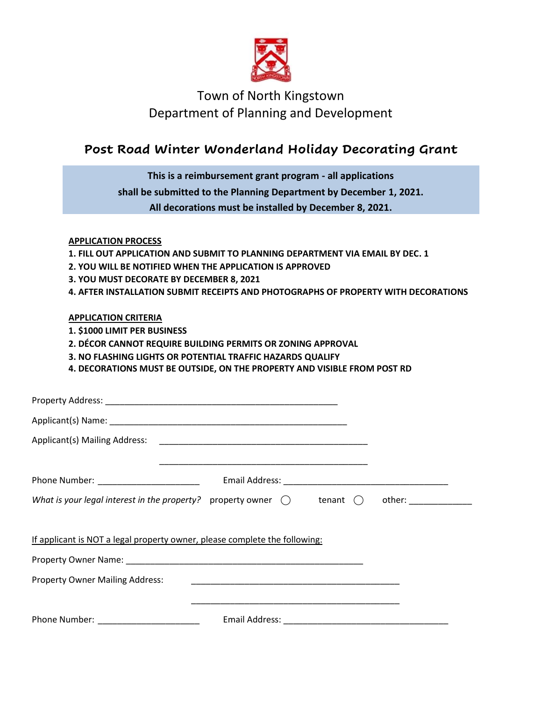

## Town of North Kingstown Department of Planning and Development

## **Post Road Winter Wonderland Holiday Decorating Grant**

| This is a reimbursement grant program - all applications                                                                                                                                                                                                                                                  |                                                                    |  |  |
|-----------------------------------------------------------------------------------------------------------------------------------------------------------------------------------------------------------------------------------------------------------------------------------------------------------|--------------------------------------------------------------------|--|--|
|                                                                                                                                                                                                                                                                                                           | shall be submitted to the Planning Department by December 1, 2021. |  |  |
|                                                                                                                                                                                                                                                                                                           | All decorations must be installed by December 8, 2021.             |  |  |
| <b>APPLICATION PROCESS</b><br>1. FILL OUT APPLICATION AND SUBMIT TO PLANNING DEPARTMENT VIA EMAIL BY DEC. 1<br>2. YOU WILL BE NOTIFIED WHEN THE APPLICATION IS APPROVED<br>3. YOU MUST DECORATE BY DECEMBER 8, 2021<br>4. AFTER INSTALLATION SUBMIT RECEIPTS AND PHOTOGRAPHS OF PROPERTY WITH DECORATIONS |                                                                    |  |  |
| <b>APPLICATION CRITERIA</b>                                                                                                                                                                                                                                                                               |                                                                    |  |  |
| 1. \$1000 LIMIT PER BUSINESS                                                                                                                                                                                                                                                                              |                                                                    |  |  |
| 2. DÉCOR CANNOT REQUIRE BUILDING PERMITS OR ZONING APPROVAL                                                                                                                                                                                                                                               |                                                                    |  |  |
| 3. NO FLASHING LIGHTS OR POTENTIAL TRAFFIC HAZARDS QUALIFY<br>4. DECORATIONS MUST BE OUTSIDE, ON THE PROPERTY AND VISIBLE FROM POST RD                                                                                                                                                                    |                                                                    |  |  |
|                                                                                                                                                                                                                                                                                                           |                                                                    |  |  |
|                                                                                                                                                                                                                                                                                                           |                                                                    |  |  |
|                                                                                                                                                                                                                                                                                                           |                                                                    |  |  |
|                                                                                                                                                                                                                                                                                                           |                                                                    |  |  |
|                                                                                                                                                                                                                                                                                                           |                                                                    |  |  |
|                                                                                                                                                                                                                                                                                                           |                                                                    |  |  |
| What is your legal interest in the property? property owner $\bigcirc$ tenant $\bigcirc$ other: _____________                                                                                                                                                                                             |                                                                    |  |  |
|                                                                                                                                                                                                                                                                                                           |                                                                    |  |  |
| If applicant is NOT a legal property owner, please complete the following:                                                                                                                                                                                                                                |                                                                    |  |  |
|                                                                                                                                                                                                                                                                                                           |                                                                    |  |  |
| <b>Property Owner Mailing Address:</b>                                                                                                                                                                                                                                                                    | <u> 1990 - Johann John Stone, mars eta biztanleria (h. 1900).</u>  |  |  |
|                                                                                                                                                                                                                                                                                                           |                                                                    |  |  |
| Phone Number: The Contract of the Contract Email Address:                                                                                                                                                                                                                                                 |                                                                    |  |  |